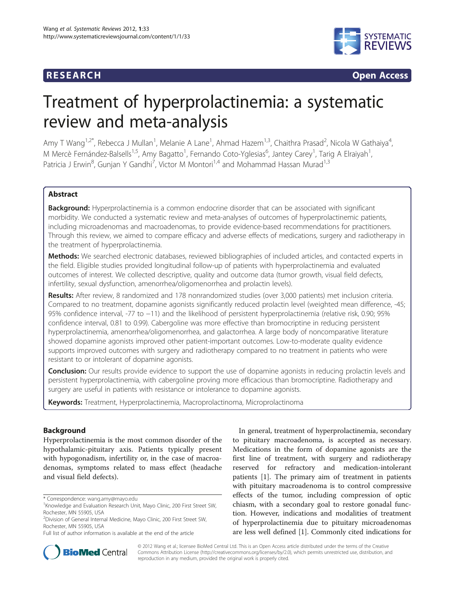

**RESEARCH RESEARCH CONSUMING ACCESS** 

# Treatment of hyperprolactinemia: a systematic review and meta-analysis

Amy T Wang<sup>1,2\*</sup>, Rebecca J Mullan<sup>1</sup>, Melanie A Lane<sup>1</sup>, Ahmad Hazem<sup>1,3</sup>, Chaithra Prasad<sup>2</sup>, Nicola W Gathaiya<sup>4</sup> , M Mercè Fernández-Balsells<sup>1,5</sup>, Amy Bagatto<sup>1</sup>, Fernando Coto-Yglesias<sup>6</sup>, Jantey Carey<sup>1</sup>, Tarig A Elraiyah<sup>1</sup> , Patricia J Erwin<sup>8</sup>, Gunjan Y Gandhi<sup>7</sup>, Victor M Montori<sup>1,4</sup> and Mohammad Hassan Murad<sup>1,3</sup>

# Abstract

**Background:** Hyperprolactinemia is a common endocrine disorder that can be associated with significant morbidity. We conducted a systematic review and meta-analyses of outcomes of hyperprolactinemic patients, including microadenomas and macroadenomas, to provide evidence-based recommendations for practitioners. Through this review, we aimed to compare efficacy and adverse effects of medications, surgery and radiotherapy in the treatment of hyperprolactinemia.

Methods: We searched electronic databases, reviewed bibliographies of included articles, and contacted experts in the field. Eligible studies provided longitudinal follow-up of patients with hyperprolactinemia and evaluated outcomes of interest. We collected descriptive, quality and outcome data (tumor growth, visual field defects, infertility, sexual dysfunction, amenorrhea/oligomenorrhea and prolactin levels).

Results: After review, 8 randomized and 178 nonrandomized studies (over 3,000 patients) met inclusion criteria. Compared to no treatment, dopamine agonists significantly reduced prolactin level (weighted mean difference, -45; 95% confidence interval, -77 to −11) and the likelihood of persistent hyperprolactinemia (relative risk, 0.90; 95% confidence interval, 0.81 to 0.99). Cabergoline was more effective than bromocriptine in reducing persistent hyperprolactinemia, amenorrhea/oligomenorrhea, and galactorrhea. A large body of noncomparative literature showed dopamine agonists improved other patient-important outcomes. Low-to-moderate quality evidence supports improved outcomes with surgery and radiotherapy compared to no treatment in patients who were resistant to or intolerant of dopamine agonists.

Conclusion: Our results provide evidence to support the use of dopamine agonists in reducing prolactin levels and persistent hyperprolactinemia, with cabergoline proving more efficacious than bromocriptine. Radiotherapy and surgery are useful in patients with resistance or intolerance to dopamine agonists.

Keywords: Treatment, Hyperprolactinemia, Macroprolactinoma, Microprolactinoma

# Background

Hyperprolactinemia is the most common disorder of the hypothalamic-pituitary axis. Patients typically present with hypogonadism, infertility or, in the case of macroadenomas, symptoms related to mass effect (headache and visual field defects).

In general, treatment of hyperprolactinemia, secondary to pituitary macroadenoma, is accepted as necessary. Medications in the form of dopamine agonists are the first line of treatment, with surgery and radiotherapy reserved for refractory and medication-intolerant patients [[1\]](#page-6-0). The primary aim of treatment in patients with pituitary macroadenoma is to control compressive effects of the tumor, including compression of optic chiasm, with a secondary goal to restore gonadal function. However, indications and modalities of treatment of hyperprolactinemia due to pituitary microadenomas are less well defined [[1\]](#page-6-0). Commonly cited indications for



© 2012 Wang et al.; licensee BioMed Central Ltd. This is an Open Access article distributed under the terms of the Creative Commons Attribution License [\(http://creativecommons.org/licenses/by/2.0\)](http://creativecommons.org/licenses/by/2.0), which permits unrestricted use, distribution, and reproduction in any medium, provided the original work is properly cited.

<sup>\*</sup> Correspondence: [wang.amy@mayo.edu](mailto:wang.amy@mayo.edu) <sup>1</sup>

<sup>&</sup>lt;sup>1</sup> Knowledge and Evaluation Research Unit, Mayo Clinic, 200 First Street SW, Rochester, MN 55905, USA

<sup>&</sup>lt;sup>2</sup> Division of General Internal Medicine, Mayo Clinic, 200 First Street SW, Rochester, MN 55905, USA

Full list of author information is available at the end of the article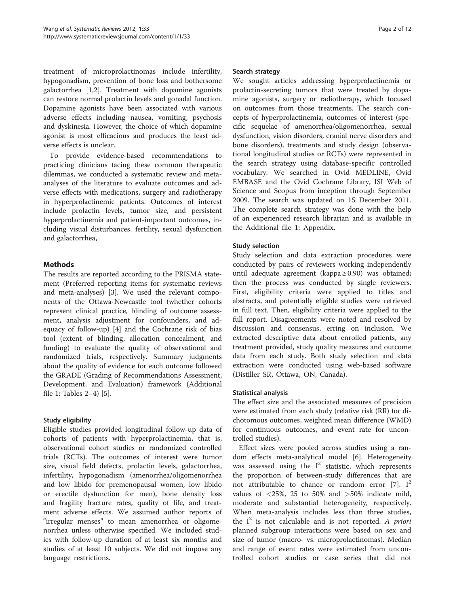treatment of microprolactinomas include infertility, hypogonadism, prevention of bone loss and bothersome galactorrhea [[1,2\]](#page-6-0). Treatment with dopamine agonists can restore normal prolactin levels and gonadal function. Dopamine agonists have been associated with various adverse effects including nausea, vomiting, psychosis and dyskinesia. However, the choice of which dopamine agonist is most efficacious and produces the least adverse effects is unclear.

To provide evidence-based recommendations to practicing clinicians facing these common therapeutic dilemmas, we conducted a systematic review and metaanalyses of the literature to evaluate outcomes and adverse effects with medications, surgery and radiotherapy in hyperprolactinemic patients. Outcomes of interest include prolactin levels, tumor size, and persistent hyperprolactinemia and patient-important outcomes, including visual disturbances, fertility, sexual dysfunction and galactorrhea,

# Methods

The results are reported according to the PRISMA statement (Preferred reporting items for systematic reviews and meta-analyses) [\[3\]](#page-6-0). We used the relevant components of the Ottawa-Newcastle tool (whether cohorts represent clinical practice, blinding of outcome assessment, analysis adjustment for confounders, and adequacy of follow-up) [[4\]](#page-6-0) and the Cochrane risk of bias tool (extent of blinding, allocation concealment, and funding) to evaluate the quality of observational and randomized trials, respectively. Summary judgments about the quality of evidence for each outcome followed the GRADE (Grading of Recommendations Assessment, Development, and Evaluation) framework (Additional file [1:](#page-5-0) Tables 2–4) [[5\]](#page-6-0).

# Study eligibility

Eligible studies provided longitudinal follow-up data of cohorts of patients with hyperprolactinemia, that is, observational cohort studies or randomized controlled trials (RCTs). The outcomes of interest were tumor size, visual field defects, prolactin levels, galactorrhea, infertility, hypogonadism (amenorrhea/oligomenorrhea and low libido for premenopausal women, low libido or erectile dysfunction for men), bone density loss and fragility fracture rates, quality of life, and treatment adverse effects. We assumed author reports of "irregular menses" to mean amenorrhea or oligomenorrhea unless otherwise specified. We included studies with follow-up duration of at least six months and studies of at least 10 subjects. We did not impose any language restrictions.

#### Search strategy

We sought articles addressing hyperprolactinemia or prolactin-secreting tumors that were treated by dopamine agonists, surgery or radiotherapy, which focused on outcomes from those treatments. The search concepts of hyperprolactinemia, outcomes of interest (specific sequelae of amenorrhea/oligomenorrhea, sexual dysfunction, vision disorders, cranial nerve disorders and bone disorders), treatments and study design (observational longitudinal studies or RCTs) were represented in the search strategy using database-specific controlled vocabulary. We searched in Ovid MEDLINE, Ovid EMBASE and the Ovid Cochrane Library, ISI Web of Science and Scopus from inception through September 2009. The search was updated on 15 December 2011. The complete search strategy was done with the help of an experienced research librarian and is available in the Additional file [1:](#page-5-0) Appendix.

# Study selection

Study selection and data extraction procedures were conducted by pairs of reviewers working independently until adequate agreement (kappa  $\geq$  0.90) was obtained; then the process was conducted by single reviewers. First, eligibility criteria were applied to titles and abstracts, and potentially eligible studies were retrieved in full text. Then, eligibility criteria were applied to the full report. Disagreements were noted and resolved by discussion and consensus, erring on inclusion. We extracted descriptive data about enrolled patients, any treatment provided, study quality measures and outcome data from each study. Both study selection and data extraction were conducted using web-based software (Distiller SR, Ottawa, ON, Canada).

# Statistical analysis

The effect size and the associated measures of precision were estimated from each study (relative risk (RR) for dichotomous outcomes, weighted mean difference (WMD) for continuous outcomes, and event rate for uncontrolled studies).

Effect sizes were pooled across studies using a random effects meta-analytical model [[6\]](#page-6-0). Heterogeneity was assessed using the  $I^2$  statistic, which represents the proportion of between-study differences that are not attributable to chance or random error [[7](#page-6-0)].  $I^2$ values of <25%, 25 to 50% and >50% indicate mild, moderate and substantial heterogeneity, respectively. When meta-analysis includes less than three studies, the  $I^2$  is not calculable and is not reported. A priori planned subgroup interactions were based on sex and size of tumor (macro- vs. microprolactinomas). Median and range of event rates were estimated from uncontrolled cohort studies or case series that did not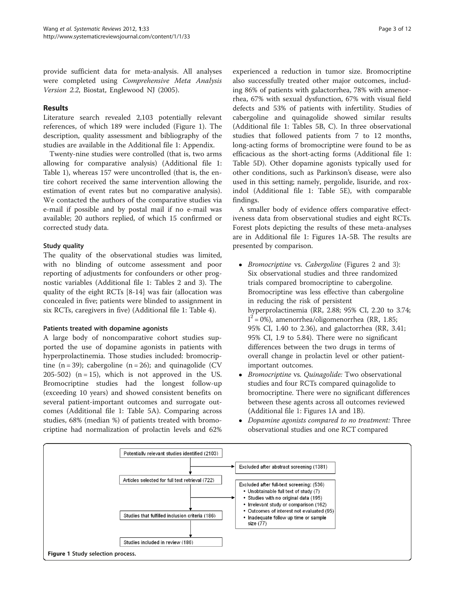provide sufficient data for meta-analysis. All analyses were completed using Comprehensive Meta Analysis Version 2.2, Biostat, Englewood NJ (2005).

# Results

Literature search revealed 2,103 potentially relevant references, of which 189 were included (Figure 1). The description, quality assessment and bibliography of the studies are available in the Additional file [1](#page-5-0): Appendix.

Twenty-nine studies were controlled (that is, two arms allowing for comparative analysis) (Additional file [1](#page-5-0): Table 1), whereas 157 were uncontrolled (that is, the entire cohort received the same intervention allowing the estimation of event rates but no comparative analysis). We contacted the authors of the comparative studies via e-mail if possible and by postal mail if no e-mail was available; 20 authors replied, of which 15 confirmed or corrected study data.

# Study quality

The quality of the observational studies was limited, with no blinding of outcome assessment and poor reporting of adjustments for confounders or other prognostic variables (Additional file [1](#page-5-0): Tables 2 and 3). The quality of the eight RCTs [\[8](#page-6-0)-[14\]](#page-6-0) was fair (allocation was concealed in five; patients were blinded to assignment in six RCTs, caregivers in five) (Additional file [1:](#page-5-0) Table 4).

# Patients treated with dopamine agonists

A large body of noncomparative cohort studies supported the use of dopamine agonists in patients with hyperprolactinemia. Those studies included: bromocriptine  $(n = 39)$ ; cabergoline  $(n = 26)$ ; and quinagolide (CV)  $205-502$ ) (n = 15), which is not approved in the US. Bromocriptine studies had the longest follow-up (exceeding 10 years) and showed consistent benefits on several patient-important outcomes and surrogate outcomes (Additional file [1:](#page-5-0) Table 5A). Comparing across studies, 68% (median %) of patients treated with bromocriptine had normalization of prolactin levels and 62%

experienced a reduction in tumor size. Bromocriptine also successfully treated other major outcomes, including 86% of patients with galactorrhea, 78% with amenorrhea, 67% with sexual dysfunction, 67% with visual field defects and 53% of patients with infertility. Studies of cabergoline and quinagolide showed similar results (Additional file [1:](#page-5-0) Tables 5B, C). In three observational studies that followed patients from 7 to 12 months, long-acting forms of bromocriptine were found to be as efficacious as the short-acting forms (Additional file [1](#page-5-0): Table 5D). Other dopamine agonists typically used for other conditions, such as Parkinson's disease, were also used in this setting; namely, pergolide, lisuride, and roxindol (Additional file [1](#page-5-0): Table 5E), with comparable findings.

A smaller body of evidence offers comparative effectiveness data from observational studies and eight RCTs. Forest plots depicting the results of these meta-analyses are in Additional file [1](#page-5-0): Figures 1A-5B. The results are presented by comparison.

- *Bromocriptine vs. Cabergoline* (Figures [2](#page-3-0) and [3](#page-3-0)): Six observational studies and three randomized trials compared bromocriptine to cabergoline. Bromocriptine was less effective than cabergoline in reducing the risk of persistent hyperprolactinemia (RR, 2.88; 95% CI, 2.20 to 3.74;  $I^2$  = 0%), amenorrhea/oligomenorrhea (RR, 1.85; 95% CI, 1.40 to 2.36), and galactorrhea (RR, 3.41; 95% CI, 1.9 to 5.84). There were no significant differences between the two drugs in terms of overall change in prolactin level or other patientimportant outcomes.
- Bromocriptine vs. Quinagolide: Two observational studies and four RCTs compared quinagolide to bromocriptine. There were no significant differences between these agents across all outcomes reviewed (Additional file [1:](#page-5-0) Figures 1A and 1B).
- Dopamine agonists compared to no treatment: Three observational studies and one RCT compared

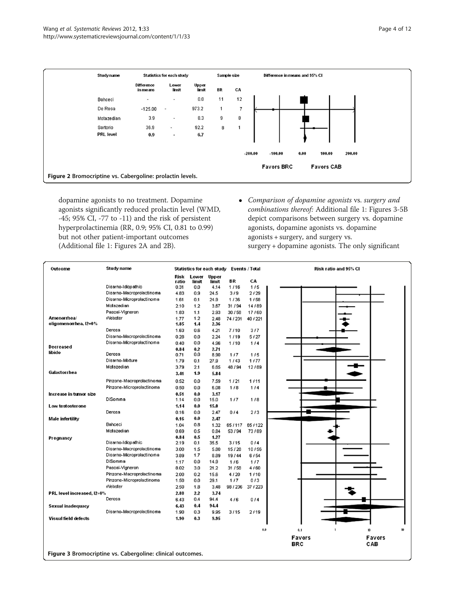<span id="page-3-0"></span>

dopamine agonists to no treatment. Dopamine agonists significantly reduced prolactin level (WMD, -45; 95% CI, -77 to -11) and the risk of persistent hyperprolactinemia (RR, 0.9; 95% CI, 0.81 to 0.99) but not other patient-important outcomes (Additional file [1:](#page-5-0) Figures 2A and 2B).

 Comparison of dopamine agonists vs. surgery and combinations thereof: Additional file [1](#page-5-0): Figures 3-5B depict comparisons between surgery vs. dopamine agonists, dopamine agonists vs. dopamine agonists + surgery, and surgery vs. surgery + dopamine agonists. The only significant

| Outcome                                                    | <b>Study name</b>         | Statistics for each study Events / Total |            |              |                | <b>Risk ratio and 95% CI</b> |               |               |
|------------------------------------------------------------|---------------------------|------------------------------------------|------------|--------------|----------------|------------------------------|---------------|---------------|
|                                                            |                           | Risk                                     | Lower      | <b>Upper</b> |                |                              |               |               |
|                                                            |                           | ratio                                    | limit      | limit        | BR             | CA                           |               |               |
|                                                            | Disarno-Idiopathic        | 0.31                                     | 0.0        | 4.14         | 1/16           | 1/5                          |               |               |
|                                                            | Disarno-Macroprolactinoma | 4.83                                     | 0.9        | 24.5         | 3/9            | 2/29                         |               |               |
|                                                            | Disarno-Microprolactinoma | 1.61                                     | 0.1        | 24.9         | 1/36           | 1/58                         |               |               |
|                                                            | Motazedian                | 2.10                                     | 1.2        | 3.67         | 31/94          | 14/89                        |               |               |
|                                                            | Pascal-Vigneron           | 1.83                                     | 1.1        | 2.93         | 30/58          | 17/60                        |               |               |
| Amenormea/                                                 | Webster                   | 1.77                                     | 1.2        | 2.48         | 74 / 231       | 40/221                       |               |               |
| oligomenorrhea, I2=0%                                      |                           | 1.85                                     | 1.4        | 2.36         |                |                              |               |               |
|                                                            | Derosa                    | 1.63                                     | 0.6        | 4.21         | 7/10           | 3/7                          |               |               |
|                                                            | Disarno-Macroprolactinoma | 0.28                                     | 0.0        | 2.24         | 1/19           | 5/27                         |               |               |
| Decreased                                                  | Disarno-Microprolactinoma | 0.40                                     | 0.0        | 4.96         | 1/10           | 1/4                          |               |               |
| libido                                                     | Derosa                    | 0.84                                     | 0.2<br>0.0 | 2.71         |                |                              |               |               |
|                                                            | Disarno-Mixture           | 0.71<br>1.79                             | 0.1        | 8.90<br>27.9 | 1/7<br>1/43    | 1/5<br>1/77                  |               |               |
|                                                            | Motazedian                | 3.79                                     | 2.1        |              |                |                              |               |               |
| Galactorrhea                                               |                           |                                          | 1.9        | 6.65         | 48/94          | 12/89                        |               |               |
|                                                            |                           | 3.41                                     |            | 5.84         |                |                              |               |               |
|                                                            | Pinzone-Macroprolactinoma | 0.52                                     | 0.0        | 7.59         | 1/21           | 1/11                         |               |               |
|                                                            | Pinzone-Microprolactinoma | 0.50                                     | 0.0        | 6.08         | 1/8            | 1/4                          |               |               |
| Increase in tumor size                                     |                           | 0.51                                     | 0.0        | 3.17         |                |                              |               |               |
|                                                            | DiSomma                   | 1.14                                     | 0.0        | 15.0         | 1/7            | 1/8                          |               |               |
| Low testosterone                                           |                           | 1.14                                     | 0.0        | 15.0         |                |                              |               |               |
|                                                            | Derosa                    | 0.16                                     | 0.0        | 2.47         | 0/4            | 2/3                          |               |               |
| Male infertility                                           |                           | 0.16                                     | 0.0        | 2.47         |                |                              |               |               |
|                                                            | Bahceci                   | 1.04                                     | 0.8        | 1.32         | 65/117         | 65/122                       |               |               |
|                                                            | Motazedian                | 0.69                                     | 0.5        | 0.84         | 53/94          | 73/89                        |               |               |
| Pregnancy                                                  | Disarno-Idiopathic        | 0.84<br>2.19                             | 0.5<br>0.1 | 1.27<br>35.5 | 3/15           | 0/4                          |               |               |
|                                                            | Disarno-Macroprolactinoma |                                          |            |              |                | 10/56                        |               |               |
|                                                            | Disarno-Microprolactinoma | 3.00<br>3.89                             | 1.5<br>1.7 | 5.80<br>8.89 | 15/28<br>19/44 | 6/54                         |               |               |
|                                                            | DiSomma                   | 1.17                                     | 0.0        | 14.9         | 1/6            | 1/7                          |               |               |
|                                                            | Pascal-Vigneron           | 8.02                                     | 3.0        | 21.2         | 31 / 58        | 4/60                         |               |               |
|                                                            | Pinzone-Macroprolactinoma | 2.00                                     | 0.2        | 15.6         | 4/20           | 1/10                         |               |               |
|                                                            | Pinzone-Microprolactinoma | 1.50                                     | 0.0        | 29.1         | 1/7            | 0/3                          |               |               |
|                                                            | Webster                   | 2.50                                     | 1.8        | 3.48         | 98/236         | 37/223                       |               |               |
| PRL level increased, I2=0%                                 |                           | 2.88                                     | 2.2        | 3.74         |                |                              |               |               |
|                                                            | Derosa                    | 6.43                                     | 0.4        | 94.4         | 4/6            | 0/4                          |               |               |
|                                                            |                           |                                          | 0.4        | 94.4         |                |                              |               |               |
| Sexual inadequacy                                          | Disarno-Macroprolactinoma | 6.43<br>1.90                             | 0.3        | 9.95         | 3/15           | 2/19                         |               |               |
| Visual field defects                                       |                           | 1.90                                     | 0.3        | 9.95         |                |                              |               |               |
|                                                            |                           |                                          |            |              |                |                              |               |               |
|                                                            |                           |                                          |            |              |                | 0.0                          | 0.1           | 10            |
|                                                            |                           |                                          |            |              |                |                              | <b>Favors</b> | <b>Favors</b> |
|                                                            |                           |                                          |            |              |                |                              | <b>BRC</b>    | CAB           |
|                                                            |                           |                                          |            |              |                |                              |               |               |
| Figure 3 Bromocriptine vs. Cabergoline: clinical outcomes. |                           |                                          |            |              |                |                              |               |               |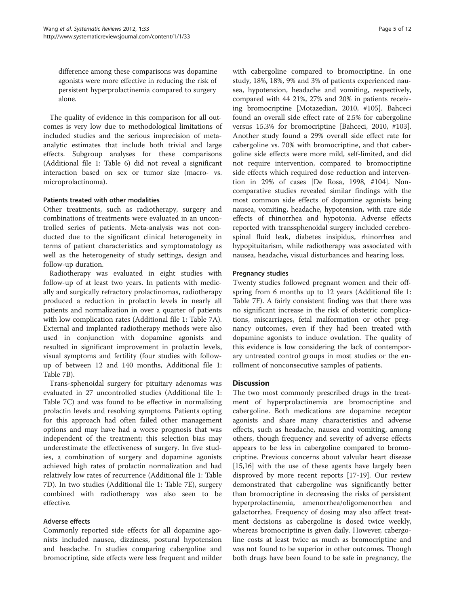difference among these comparisons was dopamine agonists were more effective in reducing the risk of persistent hyperprolactinemia compared to surgery alone.

The quality of evidence in this comparison for all outcomes is very low due to methodological limitations of included studies and the serious imprecision of metaanalytic estimates that include both trivial and large effects. Subgroup analyses for these comparisons (Additional file [1](#page-5-0): Table 6) did not reveal a significant interaction based on sex or tumor size (macro- vs. microprolactinoma).

#### Patients treated with other modalities

Other treatments, such as radiotherapy, surgery and combinations of treatments were evaluated in an uncontrolled series of patients. Meta-analysis was not conducted due to the significant clinical heterogeneity in terms of patient characteristics and symptomatology as well as the heterogeneity of study settings, design and follow-up duration.

Radiotherapy was evaluated in eight studies with follow-up of at least two years. In patients with medically and surgically refractory prolactinomas, radiotherapy produced a reduction in prolactin levels in nearly all patients and normalization in over a quarter of patients with low complication rates (Additional file [1](#page-5-0): Table 7A). External and implanted radiotherapy methods were also used in conjunction with dopamine agonists and resulted in significant improvement in prolactin levels, visual symptoms and fertility (four studies with followup of between 12 and 140 months, Additional file [1](#page-5-0): Table 7B).

Trans-sphenoidal surgery for pituitary adenomas was evaluated in 27 uncontrolled studies (Additional file [1](#page-5-0): Table 7C) and was found to be effective in normalizing prolactin levels and resolving symptoms. Patients opting for this approach had often failed other management options and may have had a worse prognosis that was independent of the treatment; this selection bias may underestimate the effectiveness of surgery. In five studies, a combination of surgery and dopamine agonists achieved high rates of prolactin normalization and had relatively low rates of recurrence (Additional file [1](#page-5-0): Table 7D). In two studies (Additional file [1](#page-5-0): Table 7E), surgery combined with radiotherapy was also seen to be effective.

# Adverse effects

Commonly reported side effects for all dopamine agonists included nausea, dizziness, postural hypotension and headache. In studies comparing cabergoline and bromocriptine, side effects were less frequent and milder with cabergoline compared to bromocriptine. In one study, 18%, 18%, 9% and 3% of patients experienced nausea, hypotension, headache and vomiting, respectively, compared with 44 21%, 27% and 20% in patients receiving bromocriptine [Motazedian, 2010, #105]. Bahceci found an overall side effect rate of 2.5% for cabergoline versus 15.3% for bromocriptine [Bahceci, 2010, #103]. Another study found a 29% overall side effect rate for cabergoline vs. 70% with bromocriptine, and that cabergoline side effects were more mild, self-limited, and did not require intervention, compared to bromocriptine side effects which required dose reduction and intervention in 29% of cases [De Rosa, 1998, #104]. Noncomparative studies revealed similar findings with the most common side effects of dopamine agonists being nausea, vomiting, headache, hypotension, with rare side effects of rhinorrhea and hypotonia. Adverse effects reported with transsphenoidal surgery included cerebrospinal fluid leak, diabetes insipidus, rhinorrhea and hypopituitarism, while radiotherapy was associated with nausea, headache, visual disturbances and hearing loss.

#### Pregnancy studies

Twenty studies followed pregnant women and their offspring from 6 months up to 12 years (Additional file [1](#page-5-0): Table 7F). A fairly consistent finding was that there was no significant increase in the risk of obstetric complications, miscarriages, fetal malformation or other pregnancy outcomes, even if they had been treated with dopamine agonists to induce ovulation. The quality of this evidence is low considering the lack of contemporary untreated control groups in most studies or the enrollment of nonconsecutive samples of patients.

#### **Discussion**

The two most commonly prescribed drugs in the treatment of hyperprolactinemia are bromocriptine and cabergoline. Both medications are dopamine receptor agonists and share many characteristics and adverse effects, such as headache, nausea and vomiting, among others, though frequency and severity of adverse effects appears to be less in cabergoline compared to bromocriptine. Previous concerns about valvular heart disease [[15,16\]](#page-6-0) with the use of these agents have largely been disproved by more recent reports [\[17](#page-6-0)-[19](#page-6-0)]. Our review demonstrated that cabergoline was significantly better than bromocriptine in decreasing the risks of persistent hyperprolactinemia, amenorrhea/oligomenorrhea and galactorrhea. Frequency of dosing may also affect treatment decisions as cabergoline is dosed twice weekly, whereas bromocriptine is given daily. However, cabergoline costs at least twice as much as bromocriptine and was not found to be superior in other outcomes. Though both drugs have been found to be safe in pregnancy, the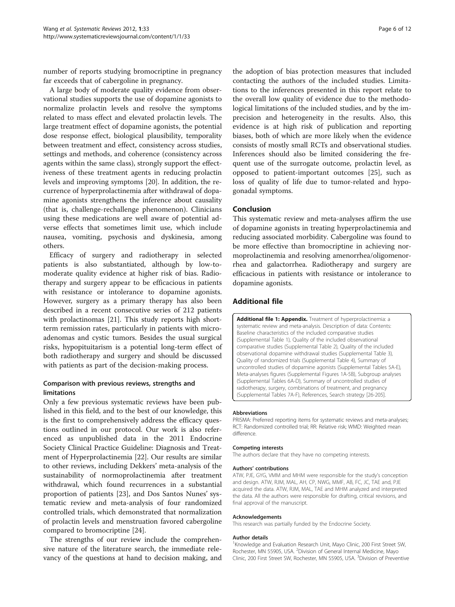<span id="page-5-0"></span>number of reports studying bromocriptine in pregnancy far exceeds that of cabergoline in pregnancy.

A large body of moderate quality evidence from observational studies supports the use of dopamine agonists to normalize prolactin levels and resolve the symptoms related to mass effect and elevated prolactin levels. The large treatment effect of dopamine agonists, the potential dose response effect, biological plausibility, temporality between treatment and effect, consistency across studies, settings and methods, and coherence (consistency across agents within the same class), strongly support the effectiveness of these treatment agents in reducing prolactin levels and improving symptoms [[20](#page-6-0)]. In addition, the recurrence of hyperprolactinemia after withdrawal of dopamine agonists strengthens the inference about causality (that is, challenge-rechallenge phenomenon). Clinicians using these medications are well aware of potential adverse effects that sometimes limit use, which include nausea, vomiting, psychosis and dyskinesia, among others.

Efficacy of surgery and radiotherapy in selected patients is also substantiated, although by low-tomoderate quality evidence at higher risk of bias. Radiotherapy and surgery appear to be efficacious in patients with resistance or intolerance to dopamine agonists. However, surgery as a primary therapy has also been described in a recent consecutive series of 212 patients with prolactinomas [[21\]](#page-6-0). This study reports high shortterm remission rates, particularly in patients with microadenomas and cystic tumors. Besides the usual surgical risks, hypopituitarism is a potential long-term effect of both radiotherapy and surgery and should be discussed with patients as part of the decision-making process.

# Comparison with previous reviews, strengths and limitations

Only a few previous systematic reviews have been published in this field, and to the best of our knowledge, this is the first to comprehensively address the efficacy questions outlined in our protocol. Our work is also referenced as unpublished data in the 2011 Endocrine Society Clinical Practice Guideline: Diagnosis and Treatment of Hyperprolactinemia [\[22](#page-6-0)]. Our results are similar to other reviews, including Dekkers' meta-analysis of the sustainability of normoprolactinemia after treatment withdrawal, which found recurrences in a substantial proportion of patients [\[23](#page-6-0)], and Dos Santos Nunes' systematic review and meta-analysis of four randomized controlled trials, which demonstrated that normalization of prolactin levels and menstruation favored cabergoline compared to bromocriptine [\[24\]](#page-6-0).

The strengths of our review include the comprehensive nature of the literature search, the immediate relevancy of the questions at hand to decision making, and the adoption of bias protection measures that included contacting the authors of the included studies. Limitations to the inferences presented in this report relate to the overall low quality of evidence due to the methodological limitations of the included studies, and by the imprecision and heterogeneity in the results. Also, this evidence is at high risk of publication and reporting biases, both of which are more likely when the evidence consists of mostly small RCTs and observational studies. Inferences should also be limited considering the frequent use of the surrogate outcome, prolactin level, as opposed to patient-important outcomes [\[25\]](#page-6-0), such as loss of quality of life due to tumor-related and hypogonadal symptoms.

# Conclusion

This systematic review and meta-analyses affirm the use of dopamine agonists in treating hyperprolactinemia and reducing associated morbidity. Cabergoline was found to be more effective than bromocriptine in achieving normoprolactinemia and resolving amenorrhea/oligomenorrhea and galactorrhea. Radiotherapy and surgery are efficacious in patients with resistance or intolerance to dopamine agonists.

#### Additional file

[Additional file 1: Appendix.](http://www.biomedcentral.com/content/supplementary/2046-4053-1-33-S1.doc) Treatment of hyperprolactinemia: a systematic review and meta-analysis. Description of data: Contents: Baseline characteristics of the included comparative studies (Supplemental Table 1), Quality of the included observational comparative studies (Supplemental Table 2), Quality of the included observational dopamine withdrawal studies (Supplemental Table 3), Quality of randomized trials (Supplemental Table 4), Summary of uncontrolled studies of dopamine agonists (Supplemental Tables 5A-E), Meta-analyses figures (Supplemental Figures 1A-5B), Subgroup analyses (Supplemental Tables 6A-D), Summary of uncontrolled studies of radiotherapy, surgery, combinations of treatment, and pregnancy (Supplemental Tables 7A-F), References, Search strategy [26-205].

#### Abbreviations

PRISMA: Preferred reporting items for systematic reviews and meta-analyses; RCT: Randomized controlled trial; RR: Relative risk; WMD: Weighted mean difference.

#### Competing interests

The authors declare that they have no competing interests.

#### Authors' contributions

ATW, PJE, GYG, VMM and MHM were responsible for the study's conception and design. ATW, RJM, MAL, AH, CP, NWG, MMF, AB, FC, JC, TAE and, PJE acquired the data. ATW, RJM, MAL, TAE and MHM analyzed and interpreted the data. All the authors were responsible for drafting, critical revisions, and final approval of the manuscript.

#### Acknowledgements

This research was partially funded by the Endocrine Society.

#### Author details

<sup>1</sup> Knowledge and Evaluation Research Unit, Mayo Clinic, 200 First Street SW Rochester, MN 55905, USA. <sup>2</sup> Division of General Internal Medicine, Mayo Clinic, 200 First Street SW, Rochester, MN 55905, USA. <sup>3</sup>Division of Preventive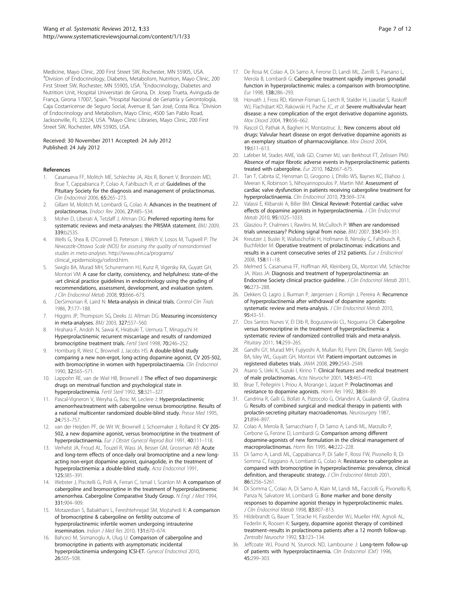<span id="page-6-0"></span>Medicine, Mayo Clinic, 200 First Street SW, Rochester, MN 55905, USA. 4 Division of Endocrinology, Diabetes, Metabolism, Nutrition, Mayo Clinic, 200 First Street SW, Rochester, MN 55905, USA. <sup>5</sup>Endocrinology, Diabetes and Nutrition Unit, Hospital Universitari de Girona, Dr. Josep Trueta, Avinguda de França, Girona 17007, Spain. <sup>6</sup>Hospital Nacional de Geriatría y Gerontología, Caja Costarricense de Seguro Social, Avenue 8, San José, Costa Rica. <sup>7</sup>Division of Endocrinology and Metabolism, Mayo Clinic, 4500 San Pablo Road, Jacksonville, FL 32224, USA. <sup>8</sup>Mayo Clinic Libraries, Mayo Clinic, 200 First Street SW, Rochester, MN 55905, USA.

#### Received: 30 November 2011 Accepted: 24 July 2012 Published: 24 July 2012

#### References

- 1. Casanueva FF, Molitch ME, Schlechte JA, Abs R, Bonert V, Bronstein MD, Brue T, Cappabianca P, Colao A, Fahlbusch R, et al: Guidelines of the Pituitary Society for the diagnosis and management of prolactinomas. Clin Endocrinol 2006, 65:265–273.
- 2. Gillam M, Molitch M, Lombardi G, Colao A: Advances in the treatment of prolactinomas. Endocr Rev 2006, 27:485-534.
- 3. Moher D, Liberati A, Tetzlaff J, Altman DG: Preferred reporting items for systematic reviews and meta-analyses: the PRISMA statement. BMJ 2009, 339:b2535.
- Wells G, Shea B, O'Connell D, Peterson J, Welch V, Losos M, Tugwell P: The Newcastle-Ottawa Scale (NOS) for assessing the quality of nonrandomised studies in meta-analyses. [http://www.ohri.ca/programs/](http://www.ohri.ca/programs/clinical_epidemiology/oxford.htm) [clinical\\_epidemiology/oxford.htm](http://www.ohri.ca/programs/clinical_epidemiology/oxford.htm).
- 5. Swiglo BA, Murad MH, Schunemann HJ, Kunz R, Vigersky RA, Guyatt GH, Montori VM: A case for clarity, consistency, and helpfulness: state-of-the -art clinical practice guidelines in endocrinology using the grading of recommendations, assessment, development, and evaluation system. J Clin Endocrinol Metab 2008, 93:666–673.
- 6. DerSimonian R, Laird N: Meta-analysis in clinical trials. Control Clin Trials 1986, 7:177–188.
- 7. Higgins JP, Thompson SG, Deeks JJ, Altman DG: Measuring inconsistency in meta-analyses. BMJ 2003, 327:557–560.
- 8. Hirahara F, Andoh N, Sawai K, Hirabuki T, Uemura T, Minaguchi H: Hyperprolactinemic recurrent miscarriage and results of randomized bromocriptine treatment trials. Fertil Steril 1998, 70:246–252.
- Homburg R, West C, Brownell J, Jacobs HS: A double-blind study comparing a new non-ergot, long-acting dopamine agonist, CV 205-502, with bromocriptine in women with hyperprolactinaemia. Clin Endocrinol 1990, 32:565–571.
- 10. Lappohn RE, van de Wiel HB, Brownell J: The effect of two dopaminergic drugs on menstrual function and psychological state in hyperprolactinemia. Fertil Steril 1992, 58:321–327.
- 11. Pascal-Vigneron V, Weryha G, Bosc M, Leclere J: Hyperprolactinemic amenorrhea:treatment with cabergoline versus bromocriptine. Results of a national multicenter randomized double-blind study. Presse Med 1995, 24:753–757.
- 12. van der Heijden PF, de Wit W, Brownell J, Schoemaker J, Rolland R: CV 205-502, a new dopamine agonist, versus bromocriptine in the treatment of hyperprolactinaemia. Eur J Obstet Gynecol Reprod Biol 1991, 40:111–118.
- 13. Verhelst JA, Froud AL, Touzel R, Wass JA, Besser GM, Grossman AB: Acute and long-term effects of once-daily oral bromocriptine and a new longacting non-ergot dopamine agonist, quinagolide, in the treatment of hyperprolactinemia: a double-blind study. Acta Endocrinol 1991, 125:385–391.
- 14. Webster J, Piscitelli G, Polli A, Ferrari C, Ismail I, Scanlon M: A comparison of cabergoline and bromocriptine in the treatment of hyperprolactinemic amenorrhea. Cabergoline Comparative Study Group. N Engl J Med 1994, 331:904–909.
- 15. Motazedian S, Babakhani L, Fereshtehnejad SM, Mojtahedi K: A comparison of bromocriptine & cabergoline on fertility outcome of hyperprolactinemic infertile women undergoing intrauterine insemination. Indian J Med Res 2010, 131:670–674.
- 16. Bahceci M, Sismanoglu A, Ulug U: Comparison of cabergoline and bromocriptine in patients with asymptomatic incidental hyperprolactinemia undergoing ICSI-ET. Gynecol Endocrinol 2010, 26:505–508.
- 17. De Rosa M, Colao A, Di Sarno A, Ferone D, Landi ML, Zarrilli S, Paesano L, Merola B, Lombardi G: Cabergoline treatment rapidly improves gonadal function in hyperprolactinemic males: a comparison with bromocriptine. Eur 1998, 138:286–293.
- 18. Horvath J, Fross RD, Kleiner-Fisman G, Lerch R, Stalder H, Liaudat S, Raskoff WJ, Flachsbart KD, Rakowski H, Pache JC, et al: Severe multivalvular heart disease: a new complication of the ergot derivative dopamine agonists. Mov Disord 2004, 19:656–662.
- 19. Rascol O, Pathak A, Bagheri H, Montastruc JL: New concerns about old drugs: Valvular heart disease on ergot derivative dopamine agonists as an exemplary situation of pharmacovigilance. Mov Disord 2004, 19:611–613.
- 20. Lafeber M, Stades AME, Valk GD, Cramer MJ, van Berkhout FT, Zelissen PMJ: Absence of major fibrotic adverse events in hyperprolactinemic patients treated with cabergoline. Eur 2010, 162:667-675.
- 21. Tan T, Cabrita IZ, Hensman D, Grogono J, Dhillo WS, Baynes KC, Eliahoo J, Meeran K, Robinson S, Nihoyannopoulos P, Martin NM: Assessment of cardiac valve dysfunction in patients receiving cabergoline treatment for hyperprolactinaemia. Clin Endocrinol 2010, 73:369–374.
- 22. Valassi E, Klibanski A, Biller BM: Clinical Review#: Potential cardiac valve effects of dopamine agonists in hyperprolactinemia. J Clin Endocrinol Metab 2010, 95:1025–1033.
- 23. Glasziou P, Chalmers I, Rawlins M, McCulloch P: When are randomised trials unnecessary? Picking signal from noise. BMJ 2007, 334:349–351.
- Kreutzer J, Buslei R, Wallaschofski H, Hofmann B, Nimsky C, Fahlbusch R, Buchfelder M: Operative treatment of prolactinomas: indications and results in a current consecutive series of 212 patients. Eur J Endocrinol 2008, 158:11–18.
- 25. Melmed S, Casanueva FF, Hoffman AR, Kleinberg DL, Montori VM, Schlechte JA, Wass JA: Diagnosis and treatment of hyperprolactinemia: an Endocrine Society clinical practice guideline. J Clin Endocrinol Metab 2011, 96:273–288.
- 26. Dekkers O, Lagro J, Burman P, Jørgensen J, Romijn J, Pereira A: Recurrence of hyperprolactinemia after withdrawal of dopamine agonists: systematic review and meta-analysis. J Clin Endocrinol Metab 2010, 95:43–51.
- 27. Dos Santos Nunes V, El Dib R, Boguszewski CL, Nogueira CR: Cabergoline versus bromocriptine in the treatment of hyperprolactinemia: a systematic review of randomized controlled trials and meta-analysis. Pituitary 2011, 14:259-265.
- 28. Gandhi GY, Murad MH, Fujiyoshi A, Mullan RJ, Flynn DN, Elamin MB, Swiglo BA, Isley WL, Guyatt GH, Montori VM: Patient-important outcomes in registered diabetes trials. JAMA 2008, 299:2543–2549.
- 29. Asano S, Ueki K, Suzuki I, Kirino T: Clinical features and medical treatment of male prolactinomas. Acta Neurochir 2001, 143:465–470.
- 30. Brue T, Pellegrini I, Priou A, Morange I, Jaquet P: Prolactinomas and resistance to dopamine agonists. Horm Res 1992, 38:84–89.
- 31. Candrina R, Galli G, Bollati A, Pizzocolo G, Orlandini A, Gualandi GF, Giustina G: Results of combined surgical and medical therapy in patients with prolactin-secreting pituitary macroadenomas. Neurosurgery 1987, 21:894–897.
- 32. Colao A, Merola B, Sarnacchiaro F, Di Sarno A, Landi ML, Marzullo P, Cerbone G, Ferone D, Lombardi G: Comparison among different dopamine-agonists of new formulation in the clinical management of macroprolactinomas. Horm Res 1995, 44:222–228.
- 33. Di Sarno A, Landi ML, Cappabianca P, Di Salle F, Rossi FW, Pivonello R, Di Somma C, Faggiano A, Lombardi G, Colao A: Resistance to cabergoline as compared with bromocriptine in hyperprolactinemia: prevalence, clinical definition, and therapeutic strategy. J Clin Endocrinol Metab 2001, 86:5256–5261.
- 34. Di Somma C, Colao A, Di Sarno A, Klain M, Landi ML, Facciolli G, Pivonello R, Panza N, Salvatore M, Lombardi G: Bone marker and bone density responses to dopamine agonist therapy in hyperprolactinemic males. J Clin Endocrinol Metab 1998, 83:807-813.
- 35. Hildebrandt G, Bauer T, Stracke H, Fassbender WJ, Mueller HW, Agnoli AL, Federlin K, Roosen K: Surgery, dopamine agonist therapy of combined treatment–results in prolactinoma patients after a 12 month follow-up. Zentralbl Neurochir 1992, 53:123–134.
- 36. Jeffcoate WJ, Pound N, Sturrock ND, Lambourne J: Long-term follow-up of patients with hyperprolactinaemia. Clin Endocrinol (Oxf) 1996, 45:299–303.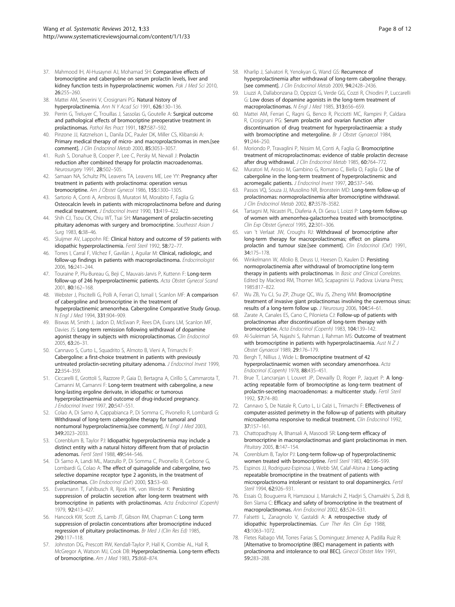- 37. Mahmood IH, Al-Husaynei AJ, Mohamad SH: Comparative effects of bromocriptine and cabergoline on serum prolactin levels, liver and kidney function tests in hyperprolactinemic women. Pak J Med Sci 2010, 26:255–260.
- 38. Mattei AM, Severini V, Crosignani PG: Natural history of hyperprolactinemia. Ann N Y Acad Sci 1991, 626:130–136.
- 39. Perrin G, Treluyer C, Trouillas J, Sassolas G, Goutelle A: Surgical outcome and pathological effects of bromocriptine preoperative treatment in prolactinomas. Pathol Res Pract 1991, 187:587–592.
- 40. Pinzone JJ, Katznelson L, Danila DC, Pauler DK, Miller CS, Klibanski A: Primary medical therapy of micro- and macroprolactinomas in men.[see comment]. J Clin Endocrinol Metab 2000, 85:3053–3057.
- 41. Rush S, Donahue B, Cooper P, Lee C, Persky M, Newall J: Prolactin reduction after combined therapy for prolactin macroadenomas. Neurosurgery 1991, 28:502–505.
- 42. Samaan NA, Schultz PN, Leavens TA, Leavens ME, Lee YY: Pregnancy after treatment in patients with prolactinoma: operation versus bromocriptine. Am J Obstet Gynecol 1986, 155:1300–1305.
- 43. Sartorio A, Conti A, Ambrosi B, Muratori M, Morabito F, Faglia G: Osteocalcin levels in patients with microprolactinoma before and during medical treatment. J Endocrinol Invest 1990, 13:419-422.
- Shih CJ, Tsou CK, Chiu WT, Tsai SH: Management of prolactin-secreting pituitary adenomas with surgery and bromocriptine. Southeast Asian J Surg 1983, 6:38–46.
- 45. Sluijmer AV, Lappohn RE: Clinical history and outcome of 59 patients with idiopathic hyperprolactinemia. Fertil Steril 1992, 58:72–77.
- 46. Torres I, Carral F, Vilchez F, Gavilán J, Aquilar M: Clinical, radiologic, and follow-up findings in patients with macroprolactinoma. Endocrinologist 2006, 16:241–244.
- 47. Touraine P, Plu-Bureau G, Beji C, Mauvais-Jarvis P, Kuttenn F: Long-term follow-up of 246 hyperprolactinemic patients. Acta Obstet Gynecol Scand 2001, 80:162–168.
- 48. Webster J, Piscitelli G, Polli A, Ferrari CI, Ismail I, Scanlon MF: A comparison of cabergoline and bromocriptine in the treatment of hyperprolactinemic amenorrhea. Cabergoline Comparative Study Group. N Engl J Med 1994, 331:904–909.
- 49. Biswas M, Smith J, Jadon D, McEwan P, Rees DA, Evans LM, Scanlon MF, Davies JS: Long-term remission following withdrawal of dopamine agonist therapy in subjects with microprolactinomas. Clin Endocrinol 2005, 63:26–31.
- 50. Cannavo S, Curto L, Squadrito S, Almoto B, Vieni A, Trimarchi F: Cabergoline: a first-choice treatment in patients with previously untreated prolactin-secreting pituitary adenoma. J Endocrinol Invest 1999, 22:354–359.
- 51. Ciccarelli E, Grottoli S, Razzore P, Gaia D, Bertagna A, Cirillo S, Cammarota T, Camanni M, Camanni F: Long-term treatment with cabergoline, a new long-lasting ergoline derivate, in idiopathic or tumorous hyperprolactinaemia and outcome of drug-induced pregnancy. J Endocrinol Invest 1997, 20:547–551.
- 52. Colao A, Di Sarno A, Cappabianca P, Di Somma C, Pivonello R, Lombardi G: Withdrawal of long-term cabergoline therapy for tumoral and nontumoral hyperprolactinemia.[see comment]. N Engl J Med 2003, 349:2023–2033.
- 53. Corenblum B, Taylor PJ: Idiopathic hyperprolactinemia may include a distinct entity with a natural history different from that of prolactin adenomas. Fertil Steril 1988, 49:544–546.
- 54. Di Sarno A, Landi ML, Marzullo P, Di Somma C, Pivonello R, Cerbone G, Lombardi G, Colao A: The effect of quinagolide and cabergoline, two selective dopamine receptor type 2 agonists, in the treatment of prolactinomas. Clin Endocrinol (Oxf) 2000, 53:53–60.
- 55. Eversmann T, Fahlbusch R, Rjosk HK, von Werder K: Persisting suppression of prolactin secretion after long-term treatment with bromocriptine in patients with prolactinomas. Acta Endocrinol (Copenh) 1979, 92:413–427.
- 56. Hancock KW, Scott JS, Lamb JT, Gibson RM, Chapman C: Long term suppression of prolactin concentrations after bromocriptine induced regression of pituitary prolactinomas. Br Med J (Clin Res Ed) 1985, 290:117–118.
- 57. Johnston DG, Prescott RW, Kendall-Taylor P, Hall K, Crombie AL, Hall R, McGregor A, Watson MJ, Cook DB: Hyperprolactinemia. Long-term effects of bromocriptine. Am J Med 1983, 75:868–874.
- 58. Kharlip J, Salvatori R, Yenokyan G, Wand GS: Recurrence of hyperprolactinemia after withdrawal of long-term cabergoline therapy. [see comment]. J Clin Endocrinol Metab 2009, 94:2428–2436.
- 59. Liuzzi A, Dallabonzana D, Oppizzi G, Verde GG, Cozzi R, Chiodini P, Luccarelli G: Low doses of dopamine agonists in the long-term treatment of macroprolactinomas. N Engl J Med 1985, 313:656–659.
- 60. Mattei AM, Ferrari C, Ragni G, Benco R, Picciotti MC, Rampini P, Caldara R, Crosignani PG: Serum prolactin and ovarian function after discontinuation of drug treatment for hyperprolactinaemia: a study with bromocriptine and metergoline. Br J Obstet Gynaecol 1984, 91:244–250.
- 61. Moriondo P, Travaglini P, Nissim M, Conti A, Faglia G: Bromocriptine treatment of microprolactinomas: evidence of stable prolactin decrease after drug withdrawal. J Clin Endocrinol Metab 1985, 60:764-772.
- 62. Muratori M, Arosio M, Gambino G, Romano C, Biella O, Faglia G: Use of cabergoline in the long-term treatment of hyperprolactinemic and acromegalic patients. J Endocrinol Invest 1997, 20:537-546.
- 63. Passos VQ, Souza JJ, Musolino NR, Bronstein MD: Long-term follow-up of prolactinomas: normoprolactinemia after bromocriptine withdrawal. J Clin Endocrinol Metab 2002, 87:3578–3582.
- 64. Tartagni M, Nicastri PL, Diaferia A, Di Gesu I, Loizzi P: Long-term follow-up of women with amenorrhea-galactorrhea treated with bromocriptine. Clin Exp Obstet Gynecol 1995, 22:301–306.
- 65. van 't Verlaat JW, Croughs RJ: Withdrawal of bromocriptine after long-term therapy for macroprolactinomas; effect on plasma prolactin and tumour size.[see comment]. Clin Endocrinol (Oxf) 1991, 34:175–178.
- 66. Winkelmann W, Allolio B, Deuss U, Heesen D, Kaulen D: Persisting normoprolactinemia after withdrawal of bromocriptine long-term therapy in patients with prolactinomas. In Basic and Clinical Correlates. Edited by Macleod RM, Thorner MO, Scapagnini U. Padova: Liviana Press; 1985:817–822.
- 67. Wu ZB, Yu CJ, Su ZP, Zhuge QC, Wu JS, Zheng WM: Bromocriptine treatment of invasive giant prolactinomas involving the cavernous sinus: results of a long-term follow up. J Neurosurg 2006, 104:54–61.
- 68. Zarate A, Canales ES, Cano C, Pilonieta CJ: Follow-up of patients with prolactinomas after discontinuation of long-term therapy with bromocriptine. Acta Endocrinol (Copenh) 1983, 104:139–142.
- 69. Al-Suleiman SA, Najashi S, Rahman J, Rahman MS: Outcome of treatment with bromocriptine in patients with hyperprolactinaemia. Aust  $N Z J$ Obstet Gynaecol 1989, 29:176–179.
- 70. Bergh T, Nillius J, Wide L: Bromocriptine treatment of 42 hyperprolactinaemic women with secondary amenorrhoea. Acta Endocrinol (Copenh) 1978, 88:435–451.
- 71. Brue T, Lancranjan I, Louvet JP, Dewailly D, Roger P, Jaquet P: A longacting repeatable form of bromocriptine as long-term treatment of prolactin-secreting macroadenomas: a multicenter study. Fertil Steril 1992, 57:74–80.
- 72. Cannavo S, De Natale R, Curto L, Li Calzi L, Trimarchi F: Effectiveness of computer-assisted perimetry in the follow-up of patients with pituitary microadenoma responsive to medical treatment. Clin Endocrinol 1992, 37:157–161.
- 73. Chattopadhyay A, Bhansali A, Masoodi SR: Long-term efficacy of bromocriptine in macroprolactinomas and giant prolactinomas in men. Pituitary 2005, 8:147–154.
- 74. Corenblum B, Taylor PJ: Long-term follow-up of hyperprolactinemic women treated with bromocriptine. Fertil Steril 1983, 40:596–599.
- 75. Espinos JJ, Rodriguez-Espinosa J, Webb SM, Calaf-Alsina J: Long-acting repeatable bromocriptine in the treatment of patients with microprolactinoma intolerant or resistant to oral dopaminergics. Fertil Steril 1994, 62:926–931.
- 76. Essais O, Bouguerra R, Hamzaoui J, Marrakchi Z, Hadjri S, Chamakhi S, Zidi B, Ben Slama C: Efficacy and safety of bromocriptine in the treatment of macroprolactinomas. Ann Endocrinol 2002, 63:524–531.
- 77. Falsetti L, Zanagnolo V, Gastaldi A: A retrospective study of idiopathic hyperprolactinemias. Curr Ther Res Clin Exp 1988, 43:1063–1072.
- 78. Fletes Rabago VM, Torres Farias S, Dominguez Jimenez A, Padilla Ruiz R: [Alternative to bromocriptine (BEC) management in patients with prolactinoma and intolerance to oral BEC]. Ginecol Obstet Mex 1991, 59:283–288.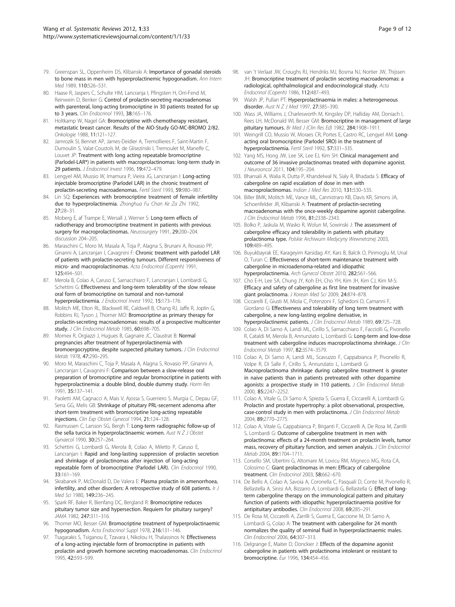- 79. Greenspan SL, Oppenheim DS, Klibanski A: Importance of gonadal steroids to bone mass in men with hyperprolactinemic hypogonadism. Ann Intern Med 1989, 110:526–531.
- 80. Haase R, Jaspers C, Schulte HM, Lancranja I, Pfingsten H, Orri-Fend M, Reinwein D, Benker G: Control of prolactin-secreting macroadenomas with parenteral, long-acting bromocriptine in 30 patients treated for up to 3 years. Clin Endocrinol 1993, 38:165–176.
- 81. Holtkamp W, Nagel GA: Bromocriptine with chemotherapy resistant, metastatic breast cancer. Results of the AIO-Study GO-MC-BROMO 2/82. Onkologie 1988, 11:121–127.
- 82. Jamrozik SI, Bennet AP, James-Deidier A, Tremollieres F, Saint-Martin F, Dumoulin S, Valat-Coustols M, de Glisezinski I, Tremoulet M, Manelfe C, Louvet JP: Treatment with long acting repeatable bromocriptine (Parlodel-LAR\*) in patients with macroprolactinomas: long-term study in 29 patients. J Endocrinol Invest 1996, 19:472–479.
- 83. Lengyel AM, Mussio W, Imamura P, Vieira JG, Lancranjan I: Long-acting injectable bromocriptine (Parlodel LAR) in the chronic treatment of prolactin-secreting macroadenomas. Fertil Steril 1993, 59:980–987.
- 84. Lin SQ: Experiences with bromocriptine treatment of female infertility due to hyperprolactinemia. Zhonghua Fu Chan Ke Za Zhi 1992, 27:28–31.
- 85. Moberg E, af Trampe E, Wersall J, Werner S: Long-term effects of radiotherapy and bromocriptine treatment in patients with previous surgery for macroprolactinomas. Neurosurgery 1991, 29:200-204. discussion 204–205.
- 86. Maraschini C, Moro M, Masala A, Toja P, Alagna S, Brunani A, Rovasio PP, Ginanni A, Lancranjan I, Cavagnini F: Chronic treatment with parlodel LAR of patients with prolactin-secreting tumours. Different responsiveness of micro- and macroprolactinomas. Acta Endocrinol (Copenh) 1991, 125:494–501.
- 87. Merola B, Colao A, Caruso E, Sarnacchiaro F, Lancranjan I, Lombardi G, Schettini G: Effectiveness and long-term tolerability of the slow release oral form of bromocriptine on tumoral and non-tumoral hyperprolactinemia. J Endocrinol Invest 1992, 15:173–176.
- 88. Molitch ME, Elton RL, Blackwell RE, Caldwell B, Chang RJ, Jaffe R, Joplin G, Robbins RJ, Tyson J, Thorner MO: Bromocriptine as primary therapy for prolactin-secreting macroadenomas: results of a prospective multicenter study. J Clin Endocrinol Metab 1985, 60:698-705.
- 89. Mornex R, Orgiazzi J, Hugues B, Gagnaire JC, Claustrat B: Normal pregnancies after treatment of hyperprolactinemia with bromoergocryptine, despite suspected pituitary tumors. J Clin Endocrinol Metab 1978, 47:290–295.
- 90. Moro M, Maraschini C, Toja P, Masala A, Alagna S, Rovasio PP, Ginanni A, Lancranjan I, Cavagnini F: Comparison between a slow-release oral preparation of bromocriptine and regular bromocriptine in patients with hyperprolactinemia: a double blind, double dummy study. Horm Res 1991, 35:137–141.
- 91. Paoletti AM, Cagnacci A, Mais V, Ajossa S, Guerriero S, Murgia C, Depau GF, Serra GG, Melis GB: Shrinkage of pituitary PRL-secernent adenoma after short-term treatment with bromocriptine long-acting repeatable injections. Clin Exp Obstet Gynecol 1994, 21:124–128.
- 92. Rasmussen C, Larsson SG, Bergh T: Long-term radiographic follow-up of the sella turcica in hyperprolactinaemic women. Aust  $N Z J Ob$ stet Gynaecol 1990, 30:257–264.
- 93. Schettini G, Lombardi G, Merola B, Colao A, Miletto P, Caruso E, Lancranjan I: Rapid and long-lasting suppression of prolactin secretion and shrinkage of prolactinomas after injection of long-acting repeatable form of bromocriptine (Parlodel LAR). Clin Endocrinol 1990, 33:161–169.
- Skrabanek P, McDonald D, De Valera E: Plasma prolactin in amenorrhoea, infertility, and other disorders: A retrospective study of 608 patients. Ir J Med Sci 1980, 149:236–245.
- 95. Spark RF, Baker R, Bienfang DC, Bergland R: Bromocriptine reduces pituitary tumor size and hypersection. Requiem for pituitary surgery? JAMA 1982, 247:311–316.
- 96. Thorner MO, Besser GM: Bromocriptine treatment of hyperprolactinaemic hypogonadism. Acta Endocrinol Suppl 1978, 216:131–146.
- 97. Tsagarakis S, Tsiganou E, Tzavara I, Nikolou H, Thalassinos N: Effectiveness of a long-acting injectable form of bromocriptine in patients with prolactin and growth hormone secreting macroadenomas. Clin Endocrinol 1995, 42:593–599.
- 98. van 't Verlaat JW, Croughs RJ, Hendriks MJ, Bosma NJ, Nortier JW, Thijssen JH: Bromocriptine treatment of prolactin secreting macroadenomas: a radiological, ophthalmological and endocrinological study. Acta Endocrinol (Copenh) 1986, 112:487–493.
- 99. Walsh JP, Pullan PT: Hyperprolactinaemia in males: a heterogeneous disorder. Aust N Z J Med 1997, 27:385-390.
- 100. Wass JA, Williams J, Charlesworth M, Kingsley DP, Halliday AM, Doniach I, Rees LH, McDonald WI, Besser GM: Bromocriptine in management of large pituitary tumours. Br Med J (Clin Res Ed) 1982, 284:1908–1911.
- 101. Weingrill CO, Mussio W, Moraes CR, Portes E, Castro RC, Lengyel AM: Longacting oral bromocriptine (Parlodel SRO) in the treatment of hyperprolactinemia. Fertil Steril 1992, 57:331–335.
- 102. Yang MS, Hong JW, Lee SK, Lee EJ, Kim SH: Clinical management and outcome of 36 invasive prolactinomas treated with dopamine agonist. J Neurooncol 2011, 104:195–204.
- 103. Bhansali A, Walia R, Dutta P, Khandelwal N, Sialy R, Bhadada S: Efficacy of cabergoline on rapid escalation of dose in men with macroprolactinomas. Indian J Med Res 2010, 131:530–535.
- 104. Biller BMK, Molitch ME, Vance ML, Cannistraro KB, Davis KR, Simons JA, Schoenfelder JR, Klibanski A: Treatment of prolactin-secreting macroadenomas with the once-weekly dopamine agonist cabergoline. J Clin Endocrinol Metab 1996, 81:2338–2343.
- 105. Bolko P, Jaskula M, Wasko R, Wolun M, Sowinski J: The assessment of cabergoline efficacy and tolerability in patients with pituitary prolactinoma type. Polskie Archiwum Medycyny Wewnetrznej 2003, 109:489–495.
- 106. Buyukbayrak EE, Karageyim Karsidag AY, Kars B, Balcik O, Pirimoglu M, Unal O, Turan C: Effectiveness of short-term maintenance treatment with cabergoline in microadenoma-related and idiopathic hyperprolactinemia. Arch Gynecol Obstet 2010, 282:561–566.
- 107. Cho E-H, Lee SA, Chung JY, Koh EH, Cho YH, Kim JH, Kim CJ, Kim M-S: Efficacy and safety of cabergoline as first line treatment for invasive giant prolactinoma. J Korean Med Sci 2009, 24:874-878.
- 108. Ciccarelli E, Giusti M, Miola C, Potenzoni F, Sghedoni D, Camanni F, Giordano G: Effectiveness and tolerability of long term treatment with cabergoline, a new long-lasting ergoline derivative, in hyperprolactinemic patients. J Clin Endocrinol Metab 1989, 69:725–728.
- 109. Colao A, Di Sarno A, Landi ML, Cirillo S, Sarnacchiaro F, Facciolli G, Pivonello R, Cataldi M, Merola B, Annunziato L, Lombardi G: Long-term and low-dose treatment with cabergoline induces macroprolactinoma shrinkage. J Clin Endocrinol Metab 1997, 82:3574–3579.
- 110. Colao A, Di Sarno A, Landi ML, Scavuzzo F, Cappabianca P, Pivonello R, Volpe R, Di Salle F, Cirillo S, Annunziato L, Lombardi G: Macroprolactinoma shrinkage during cabergoline treatment is greater in naive patients than in patients pretreated with other dopamine agonists: a prospective study in 110 patients. J Clin Endocrinol Metab 2000, 85:2247–2252.
- 111. Colao A, Vitale G, Di Sarno A, Spiezia S, Guerra E, Ciccarelli A, Lombardi G: Prolactin and prostate hypertrophy: a pilot observational, prospective, case-control study in men with prolactinoma. J Clin Endocrinol Metab 2004, 89:2770–2775.
- 112. Colao A, Vitale G, Cappabianca P, Briganti F, Ciccarelli A, De Rosa M, Zarrilli S, Lombardi G: Outcome of cabergoline treatment in men with prolactinoma: effects of a 24-month treatment on prolactin levels, tumor mass, recovery of pituitary function, and semen analysis. J Clin Endocrinol Metab 2004, 89:1704–1711.
- 113. Corsello SM, Ubertini G, Altomare M, Lovicu RM, Migneco MG, Rota CA, Colosimo C: Giant prolactinomas in men: Efficacy of cabergoline treatment. Clin Endocrinol 2003, 58:662–670.
- 114. De Bellis A, Colao A, Savoia A, Coronella C, Pasquali D, Conte M, Pivonello R, Bellastella A, Sinisi AA, Bizzarro A, Lombardi G, Bellastella G: Effect of longterm cabergoline therapy on the immunological pattern and pituitary function of patients with idiopathic hyperprolactinaemia positive for antipituitary antibodies. Clin Endocrinol 2008, 69:285-291.
- 115. De Rosa M, Ciccarelli A, Zarrilli S, Guerra E, Gaccione M, Di Sarno A, Lombardi G, Colao A: The treatment with cabergoline for 24 month normalizes the quality of seminal fluid in hyperprolactinaemic males. Clin Endocrinol 2006, 64:307–313.
- 116. Delgrange E, Maiter D, Donckier J: Effects of the dopamine agonist cabergoline in patients with prolactinoma intolerant or resistant to bromocriptine. Eur 1996, 134:454–456.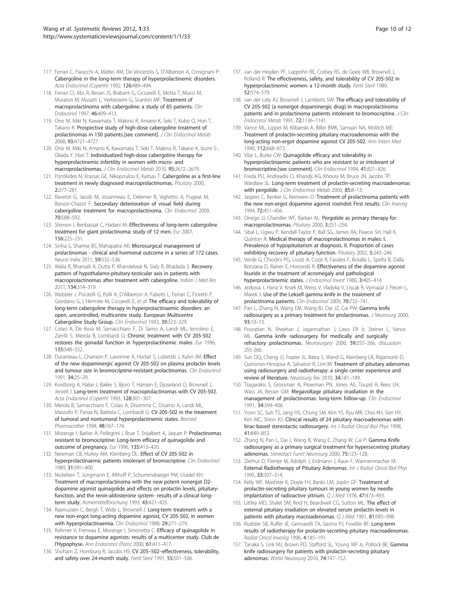- 117. Ferrari C, Paracchi A, Mattei AM, De Vincentiis S, D'Alberton A, Crosignani P: Cabergoline in the long-term therapy of hyperprolactinemic disorders. Acta Endocrinol (Copenh) 1992, 126:489–494.
- 118. Ferrari CI, Abs R, Bevan JS, Brabant G, Ciccarelli E, Motta T, Mucci M, Muratori M, Musatti L, Verbessem G, Scanlon MF: Treatment of macroprolactinoma with cabergoline: a study of 85 patients. Clin Endocrinol 1997, 46:409–413.
- 119. Ono M, Miki N, Kawamata T, Makino R, Amano K, Seki T, Kubo O, Hori T, Takano K: Prospective study of high-dose cabergoline treatment of prolactinomas in 150 patients.[see comment]. J Clin Endocrinol Metab 2008, 93:4721–4727.
- 120. Ono M, Miki N, Amano K, Kawamata T, Seki T, Makino R, Takano K, Izumi S-, Okada Y, Hori T: Individualized high-dose cabergoline therapy for hyperprolactinemic infertility in women with micro- and macroprolactinomas. J Clin Endocrinol Metab 2010, 95:2672–2679.
- 121. Pontikides N, Krassas GE, Nikopoulou E, Kaltsas T: Cabergoline as a first-line treatment in newly diagnosed macroprolactinomas. Pituitary 2000, 2:277–281.
- 122. Raverot G, Jacob M, Jouanneau E, Delemer B, Vighetto A, Pugeat M, Borson-Chazot F: Secondary deterioration of visual field during cabergoline treatment for macroprolactinoma. Clin Endocrinol 2009, 70:588–592.
- 123. Shimon I, Benbassat C, Hadani M: Effectiveness of long-term cabergoline treatment for giant prolactinoma: study of 12 men. Eur 2007, 156:225–231.
- 124. Sinha S, Sharma BS, Mahapatra AK: Microsurgical management of prolactinomas - clinical and hormonal outcome in a series of 172 cases. Neurol India 2011, 59:532–536.
- 125. Walia R, Bhansali A, Dutta P, Khandelwal N, Sialy R, Bhadada S: Recovery pattern of hypothalamo-pituitary-testicular axis in patients with macroprolactinomas after treatment with cabergoline. Indian J Med Res 2011, 134:314–319.
- 126. Webster J, Piscitelli G, Polli A, D'Alberton A, Falsetti L, Ferrari C, Fioretti P, Giordano G, L'Hermite M, Ciccarelli E, et al: The efficacy and tolerability of long-term cabergoline therapy in hyperprolactinaemic disorders: an open, uncontrolled, multicentre study. European Multicentre Cabergoline Study Group. Clin Endocrinol 1993, 39:323–329.
- 127. Colao A, De Rosa M, Sarnacchiaro F, Di Sarno A, Landi ML, Iervolino E, Zarrilli S, Merola B, Lombardi G: Chronic treatment with CV 205-502 restores the gonadal function in hyperprolactinemic males. Eur 1996, 135:548–552.
- 128. Duranteau L, Chanson P, Lavoinne A, Horlait S, Lubetzki J, Kuhn JM: Effect of the new dopaminergic agonist CV 205-502 on plasma prolactin levels and tumour size in bromocriptine-resistant prolactinomas. Clin Endocrinol 1991, 34:25–29.
- 129. Kvistborg A, Halse J, Bakke S, Bjoro T, Hansen E, Djoseland O, Brownell J, Jervell J: Long-term treatment of macroprolactinomas with CV 205-502. Acta Endocrinol (Copenh) 1993, 128:301–307.
- 130. Merola B, Sarnacchiaro F, Colao A, Disomma C, Disarno A, Landi ML, Marzullo P, Panza N, Battista C, Lombardi G: CV-205-502 in the treatment of tumoral and nontumoral hyperprolactinemic states. Biomed Pharmacother 1994, 48:167–174.
- 131. Morange I, Barlier A, Pellegrini I, Brue T, Enjalbert A, Jaquet P: Prolactinomas resistant to bromocriptine: Long-term efficacy of quinagolide and outcome of pregnancy. Eur 1996, 135:413–420.
- 132. Newman CB, Hurley AM, Kleinberg DL: Effect of CV 205-502 in hyperprolactinaemic patients intolerant of bromocriptine. Clin Endocrinol 1989, 31:391–400.
- 133. Nickelsen T, Jungmann E, Althoff P, Schummdraeger PM, Usadel KH: Treatment of macroprolactinoma with the new potent nonergot D2 dopamine agonist quinagolide and effects on prolactin levels, pituitaryfunction, and the renin-aldosterone system- results of a clinical longterm study. Arzneimittelforschung 1993, 43:421-425.
- 134. Rasmussen C, Bergh T, Wide L, Brownell J: Long-term treatment with a new non-ergot long-acting dopamine agonist, CV 205-502, in women with hyperprolactinaemia. Clin Endocrinol 1988, 29:271-279.
- 135. Rohmer V, Freneau E, Morange I, Simonetta C; **Efficacy of quinagolide in** resistance to dopamine agonists: results of a multicenter study. Club de l'Hypophyse. Ann Endocrinol (Paris) 2000, 61:411–417.
- 136. Shoham Z, Homburg R, Jacobs HS: CV 205-502-effectiveness, tolerability, and safety over 24-month study. Fertil Steril 1991, 55:501–506.
- 137. van der Heijden PF, Lappohn RE, Corbey RS, de Goeij WB, Brownell J, Rolland R: The effectiveness, safety, and tolerability of CV 205-502 in hyperprolactinemic women: a 12-month study. Fertil Steril 1989, 52:574–579.
- 138. van der Lely AJ, Brownell J, Lamberts SW: The efficacy and tolerability of CV 205-502 (a nonergot dopaminergic drug) in macroprolactinoma patients and in prolactinoma patients intolerant to bromocriptine. J Clin Endocrinol Metab 1991, 72:1136–1141.
- 139. Vance ML, Lipper M, Klibanski A, Biller BMK, Samaan NA, Molitch ME: Treatment of prolactin-secreting pituitary macroadenomas with the long-acting non-ergot dopamine agonist CV 205-502. Ann Intern Med 1990, 112:668–673.
- 140. Vilar L, Burke CW: Quinagolide efficacy and tolerability in hyperprolactinaemic patients who are resistant to or intolerant of bromocriptine.[see comment]. Clin Endocrinol 1994, 41:821–826.
- 141. Freda PU, Andreadis CI, Khandji AG, Khoury M, Bruce JN, Jacobs TP, Wardlaw SL: Long-term treatment of prolactin-secreting macroadenomas with pergolide. J Clin Endocrinol Metab 2000, 85:8-13.
- 142. Jaspers C, Benker G, Reinwein D: Treatment of prolactinoma patients with the new non-ergot dopamine agonist roxindol: First results. Clin Investig 1994, 72:451–456.
- 143. Orrego JJ, Chandler WF, Barkan AL: Pergolide as primary therapy for macroprolactinomas. Pituitary 2000, 3:251–256.
- 144. Sibal L, Ugwu P, Kendall-Taylor P, Ball SG, James RA, Pearce SH, Hall K, Quinton R: Medical therapy of macroprolactinomas in males: I. Prevalence of hypopituitarism at diagnosis. II. Proportion of cases exhibiting recovery of pituitary function. Pituitary 2002, 5:243–246.
- 145. Verde G, Chiodini PG, Liuzzi A, Cozzi R, Favales F, Botalla L, Spelta B, Dalla Bonzana D, Rainer E, Horowski R: Effectiveness of the dopamine agonist lisuride in the treatment of acromegaly and pathological hyperprolactinemic states. J Endocrinol Invest 1980, 3:405-414
- 146. Jezkova J, Hana V, Krsek M, Weiss V, Vladyka V, Liscak R, Vymazal J, Pecen L, Marek J: Use of the Leksell gamma knife in the treatment of prolactinoma patients. Clin Endocrinol 2009, 70:732–741.
- 147. Pan L, Zhang N, Wang EM, Wang BJ, Dai JZ, Cai PW: Gamma knife radiosurgery as a primary treatment for prolactinomas. J Neurosurg 2000,  $93.10 - 13$
- 148. Pouratian N, Sheehan J, Jagannathan J, Laws ER Jr, Steiner L, Vance ML: Gamma knife radiosurgery for medically and surgically refractory prolactinomas. Neurosurgery 2006, 59:255-266. discussion 255-266.
- 149. Sun DQ, Cheng JJ, Frazier JL, Batra S, Wand G, Kleinberg LR, Rigamonti D, Quinones-Hinojosa A, Salvatori R, Lim M: Treatment of pituitary adenomas using radiosurgery and radiotherapy: a single center experience and review of literature. Neurosurg Rev 2010, 34:181–189.
- 150. Tsagarakis S, Grossman A, Plowman PN, Jones AE, Touzel R, Rees LH, Wass JA, Besser GM: Megavoltage pituitary irradiation in the management of prolactinomas: long-term follow-up. Clin Endocrinol 1991, 34:399–406.
- 151. Yoon SC, Suh TS, Jang HS, Chung SM, Kim YS, Ryu MR, Choi KH, Son HY, Kim MC. Shinn KS: Clinical results of 24 pituitary macroadenomas with linac-based stereotactic radiosurgery. Int J Radiat Oncol Biol Phys 1998, 41:849–853.
- 152. Zhang N, Pan L, Dai J, Wang B, Wang E, Zhang W, Cai P: Gamma Knife radiosurgery as a primary surgical treatment for hypersecreting pituitary adenomas. Stereotact Funct Neurosurg 2000, 75:123–128.
- 153. Zierhut D, Flentje M, Adolph J, Erdmann J, Raue F, Wannenmacher M: External Radiotherapy of Pituitary Adenomas. Int J Radiat Oncol Biol Phys 1995, 33:307–314.
- 154. Kelly WF, Mashiter K, Doyle FH, Banks LM, Joplin GF: Treatment of prolactin-secreting pituitary tumours in young women by needle implantation of radioactive yttrium. Q J Med 1978, 47:473-493.
- 155. Littley MD, Shalet SM, Reid H, Beardwell CG, Sutton ML: The effect of external pituitary irradiation on elevated serum prolactin levels in patients with pituitary macroadenomas. Q J Med 1991, 81:985–998.
- 156. Rudoler SB, Ruffer JE, Gennarelli TA, Savino PJ, Fowble BF: Long-term results of radiotherapy for prolactin-secreting pituitary macroadenomas. Radiat Oncol Investig 1996, 4:185–191.
- 157. Tanaka S, Link MJ, Brown PD, Stafford SL, Young WF Jr, Pollock BE: Gamma knife radiosurgery for patients with prolactin-secreting pituitary adenomas. World Neurosurg 2010, 74:147–152.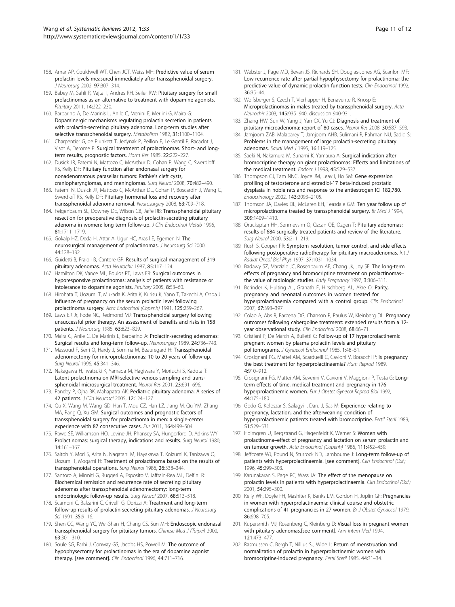- 158. Amar AP, Couldwell WT, Chen JCT, Weiss MH: Predictive value of serum prolactin levels measured immediately after transsphenoidal surgery. J Neurosurg 2002, 97:307–314.
- 159. Babey M, Sahli R, Vajtai I, Andres RH, Seiler RW: Pituitary surgery for small prolactinomas as an alternative to treatment with dopamine agonists. Pituitary 2011, 14:222–230.
- 160. Barbarino A, De Marinis L, Anile C, Menini E, Merlini G, Maira G: Dopaminergic mechanisms regulating prolactin secretion in patients with prolactin-secreting pituitary adenoma. Long-term studies after selective transsphenoidal surgery. Metabolism 1982, 31:1100–1104.
- 161. Charpentier G, de Plunkett T, Jedynak P, Peillon F, Le Gentil P, Racadot J, Visot A, Derome P: Surgical treatment of prolactinomas. Short- and longterm results, prognostic factors. Horm Res 1985, 22:222–227.
- 162. Dusick JR, Fatemi N, Mattozo C, McArthur D, Cohan P, Wang C, Swerdloff RS, Kelly DF: Pituitary function after endonasal surgery for nonadenomatous parasellar tumors: Rathke's cleft cysts, craniopharyngiomas, and meningiomas. Surg Neurol 2008, 70:482–490.
- 163. Fatemi N, Dusick JR, Mattozo C, McArthur DL, Cohan P, Boscardin J, Wang C, Swerdloff RS, Kelly DF: Pituitary hormonal loss and recovery after transsphenoidal adenoma removal. Neurosurgery 2008, 63:709–718.
- 164. Feigenbaum SL, Downey DE, Wilson CB, Jaffe RB: Transsphenoidal pituitary resection for preoperative diagnosis of prolactin-secreting pituitary adenoma in women: long term follow-up. J Clin Endocrinol Metab 1996, 81:1711–1719.
- 165. Gokalp HZ, Deda H, Attar A, Ugur HC, Arasil E, Egemen N: The neurosurgical management of prolactinomas. J Neurosurg Sci 2000, 44:128–132.
- 166. Guidetti B, Fraioli B, Cantore GP: Results of surgical management of 319 pituitary adenomas. Acta Neurochir 1987, 85:117–124.
- 167. Hamilton DK, Vance ML, Boulos PT, Laws ER: Surgical outcomes in hyporesponsive prolactinomas: analysis of patients with resistance or intolerance to dopamine agonists. Pituitary 2005, 8:53–60.
- 168. Hirohata T, Uozumi T, Mukada K, Arita K, Kurisu K, Yano T, Takechi A, Onda J: Influence of pregnancy on the serum prolactin level following prolactinoma surgery. Acta Endocrinol (Copenh) 1991, 125:259–267.
- 169. Laws ER Jr, Fode NC, Redmond MJ: Transsphenoidal surgery following unsuccessful prior therapy. An assessment of benefits and risks in 158 patients. J Neurosurg 1985, 63:823–829.
- 170. Maira G, Anile C, De Marinis L, Barbarino A: Prolactin-secreting adenomas: Surgical results and long-term follow-up. Neurosurgery 1989, 24:736–743.
- 171. Massoud F, Serri O, Hardy J, Somma M, Beauregard H: Transsphenoidal adenomectomy for microprolactinomas: 10 to 20 years of follow-up. Surg Neurol 1996, 45:341–346.
- 172. Nakagawa H, Iwatsuki K, Yamada M, Hagiwara Y, Moriuchi S, Kadota T: Latent prolactinoma on MRI-selective venous sampling and transsphenoidal microsurgical treatment. Neurol Res 2001, 23:691–696.
- 173. Pandey P, Ojha BK, Mahapatra AK: Pediatric pituitary adenoma: A series of 42 patients. J Clin Neurosci 2005, 12:124–127.
- 174. Qu X, Wang M, Wang GD, Han T, Mou CZ, Han LZ, Jiang M, Qu YM, Zhang MA, Pang Q, Xu GM: Surgical outcomes and prognostic factors of transsphenoidal surgery for prolactinoma in men: a single-center experience with 87 consecutive cases. Eur 2011, 164:499–504.
- 175. Rawe SE, Williamson HO, Levine JH, Phansey SA, Hungerford D, Adkins WY: Prolactinomas: surgical therapy, indications and results. Surg Neurol 1980, 14:161–167.
- 176. Saitoh Y, Mori S, Arita N, Nagatani M, Hayakawa T, Koizumi K, Tanizawa O, Uozumi T, Mogami H: Treatment of prolactinoma based on the results of transsphenoidal operations. Surg Neurol 1986, 26:338–344.
- 177. Santoro A, Minniti G, Ruggeri A, Esposito V, Jaffrain-Rea ML, Delfini R: Biochemical remission and recurrence rate of secreting pituitary adenomas after transsphenoidal adenomectomy: long-term endocrinologic follow-up results. Surg Neurol 2007, 68:513–518.
- 178. Scamoni C, Balzarini C, Crivelli G, Dorizzi A: Treatment and long-term follow-up results of prolactin secreting pituitary adenomas. J Neurosurg Sci 1991, 35:9-16.
- 179. Shen CC, Wang YC, Wei-Shan H, Chang CS, Sun MH: Endoscopic endonasal transsphenoidal surgery for pituitary tumors. Chinese Med J (Taipei) 2000, 63:301–310.
- 180. Soule SG, Farhi J, Conway GS, Jacobs HS, Powell M: The outcome of hypophysectomy for prolactinomas in the era of dopamine agonist therapy. [see comment]. Clin Endocrinol 1996, 44:711-716.
- 181. Webster J, Page MD, Bevan JS, Richards SH, Douglas-Jones AG, Scanlon MF: Low recurrence rate after partial hypophysectomy for prolactinoma: the predictive value of dynamic prolactin function tests. Clin Endocrinol 1992, 36:35–44.
- 182. Wolfsberger S, Czech T, Vierhapper H, Benavente R, Knosp E: Microprolactinomas in males treated by transsphenoidal surgery. Acta Neurochir 2003, 145:935–940. discussion 940-931.
- 183. Zhang HW, Sun W, Yang J, Yan CX, Yu CJ: Diagnosis and treatment of pituitary microadenoma: report of 80 cases. Neurol Res 2008, 30:587–593.
- 184. Jamjoom ZAB, Malabarey T, Jamjoom AHB, Sulimani R, Rahman NU, Sadiq S: Problems in the management of large prolactin-secreting pituitary adenomas. Saudi Med J 1995, 16:119–125.
- 185. Saeki N, Nakamura M, Sunami K, Yamaura A: Surgical indication after bromocriptine therapy on giant prolactinomas: Effects and limitations of the medical treatment. Endocr J 1998, 45:529-537.
- 186. Thompson CJ, Tam NNC, Joyce JM, Leav I, Ho SM: Gene expression profiling of testosterone and estradiol-17 beta-induced prostatic dysplasia in noble rats and response to the antiestrogen ICI 182,780. Endocrinology 2002, 143:2093–2105.
- 187. Thomson JA, Davies DL, McLaren EH, Teasdale GM: Ten year follow up of microprolactinoma treated by transsphenoidal surgery. Br Med J 1994, 309:1409–1410.
- 188. Oruckaptan HH, Senmevsim O, Ozcan OE, Ozgen T: Pituitary adenomas: results of 684 surgically treated patients and review of the literature. Surg Neurol 2000, 53:211-219.
- 189. Rush S, Cooper PR: Symptom resolution, tumor control, and side effects following postoperative radiotherapy for pituitary macroadenomas. Int J Radiat Oncol Biol Phys 1997, 37:1031–1034.
- 190. Badawy SZ, Marziale JC, Rosenbaum AE, Chang JK, Joy SE: The long-term effects of pregnancy and bromocriptine treatment on prolactinomas– the value of radiologic studies. Early Pregnancy 1997, 3:306-311.
- 191. Berinder K, Hulting AL, Granath F, Hirschberg AL, Akre O: Parity, pregnancy and neonatal outcomes in women treated for hyperprolactinaemia compared with a control group. Clin Endocrinol 2007, 67:393–397.
- 192. Colao A, Abs R, Barcena DG, Chanson P, Paulus W, Kleinberg DL: Pregnancy outcomes following cabergoline treatment: extended results from a 12 year observational study. Clin Endocrinol 2008, 68:66-71.
- 193. Cristiani P, De March A, Bulletti C: Follow-up of 17 hyperprolactinemic pregnant women by plasma prolactin levels and pituitary politomograms. J Gynaecol Endocrinol 1985, 1:48–51.
- 194. Crosignani PG, Mattei AM, Scarduelli C, Cavioni V, Boracchi P: Is pregnancy the best treatment for hyperprolactinaemia? Hum Reprod 1989, 4:910–912.
- 195. Crosignani PG, Mattei AM, Severini V, Cavioni V, Maggioni P, Testa G: Longterm effects of time, medical treatment and pregnancy in 176 hyperprolactinemic women. Eur J Obstet Gynecol Reprod Biol 1992, 44:175–180.
- 196. Godo G, Koloszar S, Szilagyi I, Daru J, Sas M: Experience relating to pregnancy, lactation, and the afterweaning condition of hyperprolactinemic patients treated with bromocriptine. Fertil Steril 1989, 51:529–531.
- 197. Holmgren U, Bergstrand G, Hagenfeldt K, Werner S: Women with prolactinoma–effect of pregnancy and lactation on serum prolactin and on tumour growth. Acta Endocrinol (Copenh) 1986, 111:452–459.
- 198. Jeffcoate WJ, Pound N, Sturrock ND, Lambourne J: Long-term follow-up of patients with hyperprolactinaemia. [see comment]. Clin Endocrinol (Oxf) 1996, 45:299–303.
- 199. Karunakaran S, Page RC, Wass JA: The effect of the menopause on prolactin levels in patients with hyperprolactinaemia. Clin Endocrinol (Oxf) 2001, 54:295–300.
- 200. Kelly WF, Doyle FH, Mashiter K, Banks LM, Gordon H, Joplin GF: Pregnancies in women with hyperprolactinaemia: clinical course and obstetric complications of 41 pregnancies in 27 women. Br J Obstet Gynaecol 1979, 86:698–705.
- 201. Kupersmith MJ, Rosenberg C, Kleinberg D: Visual loss in pregnant women with pituitary adenomas.[see comment]. Ann Intern Med 1994, 121:473–477.
- 202. Rasmussen C, Bergh T, Nillius SJ, Wide L: Return of menstruation and normalization of prolactin in hyperprolactinemic women with bromocriptine-induced pregnancy. Fertil Steril 1985, 44:31–34.